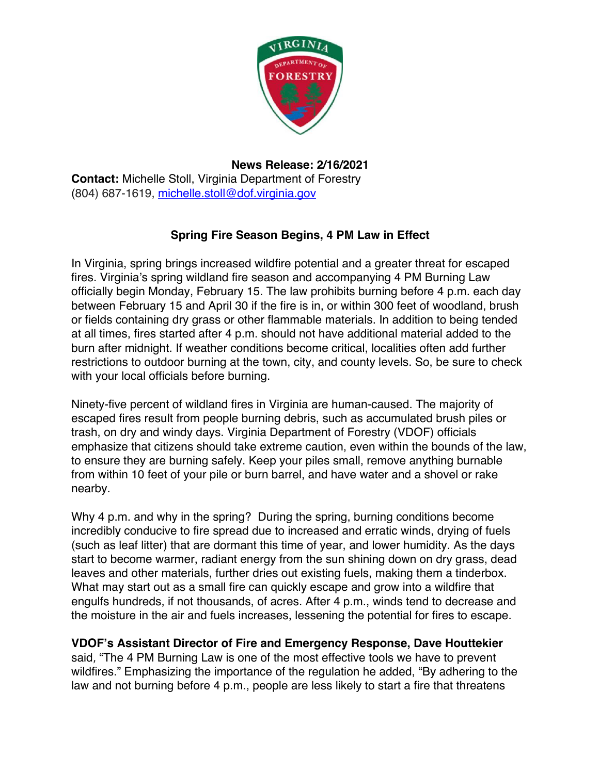

## **News Release: 2/16/2021**

**Contact:** Michelle Stoll, Virginia Department of Forestry (804) 687-1619, michelle.stoll@dof.virginia.gov

## **Spring Fire Season Begins, 4 PM Law in Effect**

In Virginia, spring brings increased wildfire potential and a greater threat for escaped fires. Virginia's spring wildland fire season and accompanying 4 PM Burning Law officially begin Monday, February 15. The law prohibits burning before 4 p.m. each day between February 15 and April 30 if the fire is in, or within 300 feet of woodland, brush or fields containing dry grass or other flammable materials. In addition to being tended at all times, fires started after 4 p.m. should not have additional material added to the burn after midnight. If weather conditions become critical, localities often add further restrictions to outdoor burning at the town, city, and county levels. So, be sure to check with your local officials before burning.

Ninety-five percent of wildland fires in Virginia are human-caused. The majority of escaped fires result from people burning debris, such as accumulated brush piles or trash, on dry and windy days. Virginia Department of Forestry (VDOF) officials emphasize that citizens should take extreme caution, even within the bounds of the law, to ensure they are burning safely. Keep your piles small, remove anything burnable from within 10 feet of your pile or burn barrel, and have water and a shovel or rake nearby.

Why 4 p.m. and why in the spring? During the spring, burning conditions become incredibly conducive to fire spread due to increased and erratic winds, drying of fuels (such as leaf litter) that are dormant this time of year, and lower humidity. As the days start to become warmer, radiant energy from the sun shining down on dry grass, dead leaves and other materials, further dries out existing fuels, making them a tinderbox. What may start out as a small fire can quickly escape and grow into a wildfire that engulfs hundreds, if not thousands, of acres. After 4 p.m., winds tend to decrease and the moisture in the air and fuels increases, lessening the potential for fires to escape.

## **VDOF's Assistant Director of Fire and Emergency Response, Dave Houttekier**

said*,* "The 4 PM Burning Law is one of the most effective tools we have to prevent wildfires." Emphasizing the importance of the regulation he added, "By adhering to the law and not burning before 4 p.m., people are less likely to start a fire that threatens